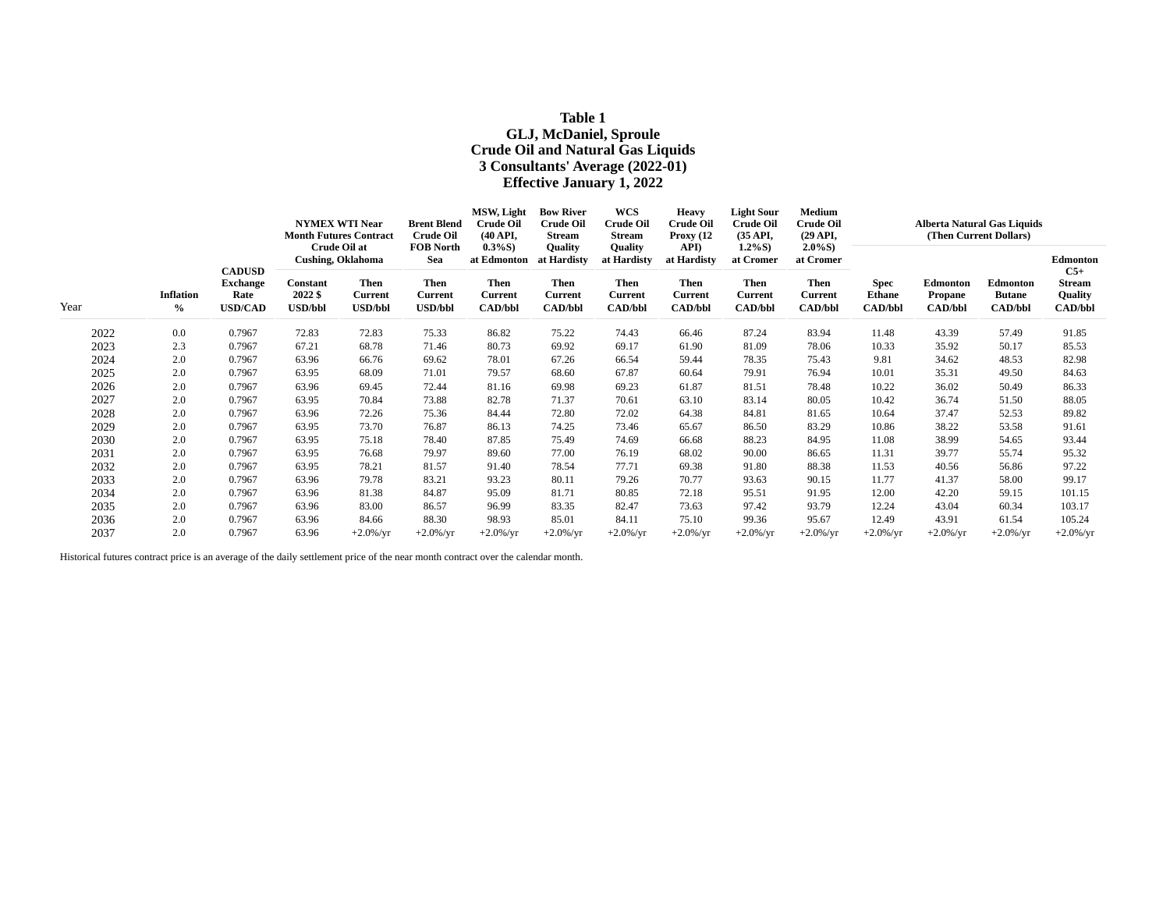# **Table 1 GLJ, McDaniel, Sproule Crude Oil and Natural Gas Liquids 3 Consultants' Average (2022-01) Effective January 1, 2022**

|      |                                   |                                  | <b>NYMEX WTI Near</b><br><b>Month Futures Contract</b>       |                                  | <b>Brent Blend</b><br><b>Crude Oil</b> | MSW, Light<br><b>Crude Oil</b><br>(40 API,<br>$0.3\%S$ )<br>at Edmonton<br><b>Then</b> | <b>Bow River</b><br><b>Crude Oil</b><br>Stream<br>Quality<br>at Hardisty<br><b>Then</b> | <b>WCS</b><br><b>Crude Oil</b><br><b>Stream</b><br>Quality<br>at Hardisty<br><b>Then</b> | <b>Heavy</b><br><b>Crude Oil</b><br>Proxy $(12)$<br>API)<br>at Hardisty<br><b>Then</b> | <b>Light Sour</b><br><b>Crude Oil</b><br>$(35 \text{ API},$<br>$1.2\%S$ )<br>at Cromer<br>Then | Medium<br><b>Crude Oil</b><br>$(29 \text{ API},$<br>$2.0\%S$ )<br>at Cromer<br><b>Then</b> | Alberta Natural Gas Liquids<br>(Then Current Dollars) |                           |                                 |                                    |  |
|------|-----------------------------------|----------------------------------|--------------------------------------------------------------|----------------------------------|----------------------------------------|----------------------------------------------------------------------------------------|-----------------------------------------------------------------------------------------|------------------------------------------------------------------------------------------|----------------------------------------------------------------------------------------|------------------------------------------------------------------------------------------------|--------------------------------------------------------------------------------------------|-------------------------------------------------------|---------------------------|---------------------------------|------------------------------------|--|
|      |                                   | <b>CADUSD</b><br><b>Exchange</b> | Crude Oil at<br><b>Cushing, Oklahoma</b><br>Then<br>Constant |                                  | <b>FOB North</b><br>Sea<br><b>Then</b> |                                                                                        |                                                                                         |                                                                                          |                                                                                        |                                                                                                |                                                                                            | <b>Spec</b>                                           | Edmonton                  | <b>Edmonton</b>                 | Edmonton<br>$C5+$<br><b>Stream</b> |  |
| Year | <b>Inflation</b><br>$\frac{6}{6}$ | Rate<br><b>USD/CAD</b>           | 2022 \$<br><b>USD/bbl</b>                                    | <b>Current</b><br><b>USD/bbl</b> | Current<br><b>USD/bbl</b>              | <b>Current</b><br><b>CAD/bbl</b>                                                       | <b>Current</b><br><b>CAD/bbl</b>                                                        | <b>Current</b><br><b>CAD/bbl</b>                                                         | <b>Current</b><br><b>CAD/bbl</b>                                                       | <b>Current</b><br><b>CAD/bbl</b>                                                               | <b>Current</b><br><b>CAD/bbl</b>                                                           | <b>Ethane</b><br><b>CAD/bbl</b>                       | Propane<br><b>CAD/bbl</b> | <b>Butane</b><br><b>CAD/bbl</b> | <b>Quality</b><br><b>CAD/bbl</b>   |  |
| 2022 | 0.0                               | 0.7967                           | 72.83                                                        | 72.83                            | 75.33                                  | 86.82                                                                                  | 75.22                                                                                   | 74.43                                                                                    | 66.46                                                                                  | 87.24                                                                                          | 83.94                                                                                      | 11.48                                                 | 43.39                     | 57.49                           | 91.85                              |  |
| 2023 | 2.3                               | 0.7967                           | 67.21                                                        | 68.78                            | 71.46                                  | 80.73                                                                                  | 69.92                                                                                   | 69.17                                                                                    | 61.90                                                                                  | 81.09                                                                                          | 78.06                                                                                      | 10.33                                                 | 35.92                     | 50.17                           | 85.53                              |  |
| 2024 | 2.0                               | 0.7967                           | 63.96                                                        | 66.76                            | 69.62                                  | 78.01                                                                                  | 67.26                                                                                   | 66.54                                                                                    | 59.44                                                                                  | 78.35                                                                                          | 75.43                                                                                      | 9.81                                                  | 34.62                     | 48.53                           | 82.98                              |  |
| 2025 | 2.0                               | 0.7967                           | 63.95                                                        | 68.09                            | 71.01                                  | 79.57                                                                                  | 68.60                                                                                   | 67.87                                                                                    | 60.64                                                                                  | 79.91                                                                                          | 76.94                                                                                      | 10.01                                                 | 35.31                     | 49.50                           | 84.63                              |  |
| 2026 | 2.0                               | 0.7967                           | 63.96                                                        | 69.45                            | 72.44                                  | 81.16                                                                                  | 69.98                                                                                   | 69.23                                                                                    | 61.87                                                                                  | 81.51                                                                                          | 78.48                                                                                      | 10.22                                                 | 36.02                     | 50.49                           | 86.33                              |  |
| 2027 | 2.0                               | 0.7967                           | 63.95                                                        | 70.84                            | 73.88                                  | 82.78                                                                                  | 71.37                                                                                   | 70.61                                                                                    | 63.10                                                                                  | 83.14                                                                                          | 80.05                                                                                      | 10.42                                                 | 36.74                     | 51.50                           | 88.05                              |  |
| 2028 | 2.0                               | 0.7967                           | 63.96                                                        | 72.26                            | 75.36                                  | 84.44                                                                                  | 72.80                                                                                   | 72.02                                                                                    | 64.38                                                                                  | 84.81                                                                                          | 81.65                                                                                      | 10.64                                                 | 37.47                     | 52.53                           | 89.82                              |  |
| 2029 | 2.0                               | 0.7967                           | 63.95                                                        | 73.70                            | 76.87                                  | 86.13                                                                                  | 74.25                                                                                   | 73.46                                                                                    | 65.67                                                                                  | 86.50                                                                                          | 83.29                                                                                      | 10.86                                                 | 38.22                     | 53.58                           | 91.61                              |  |
| 2030 | 2.0                               | 0.7967                           | 63.95                                                        | 75.18                            | 78.40                                  | 87.85                                                                                  | 75.49                                                                                   | 74.69                                                                                    | 66.68                                                                                  | 88.23                                                                                          | 84.95                                                                                      | 11.08                                                 | 38.99                     | 54.65                           | 93.44                              |  |
| 2031 | 2.0                               | 0.7967                           | 63.95                                                        | 76.68                            | 79.97                                  | 89.60                                                                                  | 77.00                                                                                   | 76.19                                                                                    | 68.02                                                                                  | 90.00                                                                                          | 86.65                                                                                      | 11.31                                                 | 39.77                     | 55.74                           | 95.32                              |  |
| 2032 | 2.0                               | 0.7967                           | 63.95                                                        | 78.21                            | 81.57                                  | 91.40                                                                                  | 78.54                                                                                   | 77.71                                                                                    | 69.38                                                                                  | 91.80                                                                                          | 88.38                                                                                      | 11.53                                                 | 40.56                     | 56.86                           | 97.22                              |  |
| 2033 | 2.0                               | 0.7967                           | 63.96                                                        | 79.78                            | 83.21                                  | 93.23                                                                                  | 80.11                                                                                   | 79.26                                                                                    | 70.77                                                                                  | 93.63                                                                                          | 90.15                                                                                      | 11.77                                                 | 41.37                     | 58.00                           | 99.17                              |  |
| 2034 | 2.0                               | 0.7967                           | 63.96                                                        | 81.38                            | 84.87                                  | 95.09                                                                                  | 81.71                                                                                   | 80.85                                                                                    | 72.18                                                                                  | 95.51                                                                                          | 91.95                                                                                      | 12.00                                                 | 42.20                     | 59.15                           | 101.15                             |  |
| 2035 | 2.0                               | 0.7967                           | 63.96                                                        | 83.00                            | 86.57                                  | 96.99                                                                                  | 83.35                                                                                   | 82.47                                                                                    | 73.63                                                                                  | 97.42                                                                                          | 93.79                                                                                      | 12.24                                                 | 43.04                     | 60.34                           | 103.17                             |  |
| 2036 | 2.0                               | 0.7967                           | 63.96                                                        | 84.66                            | 88.30                                  | 98.93                                                                                  | 85.01                                                                                   | 84.11                                                                                    | 75.10                                                                                  | 99.36                                                                                          | 95.67                                                                                      | 12.49                                                 | 43.91                     | 61.54                           | 105.24                             |  |
| 2037 | 2.0                               | 0.7967                           | 63.96                                                        | $+2.0\%$ /yr                     | $+2.0\%$ /yr                           | $+2.0\%$ /yr                                                                           | $+2.0\%$ /yr                                                                            | $+2.0\%$ /yr                                                                             | $+2.0\%$ /yr                                                                           | $+2.0\%$ /yr                                                                                   | $+2.0\%$ /yr                                                                               | $+2.0\%$ /yr                                          | $+2.0\%$ /yr              | $+2.0\%$ /yr                    | $+2.0\%$ /yr                       |  |

Historical futures contract price is an average of the daily settlement price of the near month contract over the calendar month.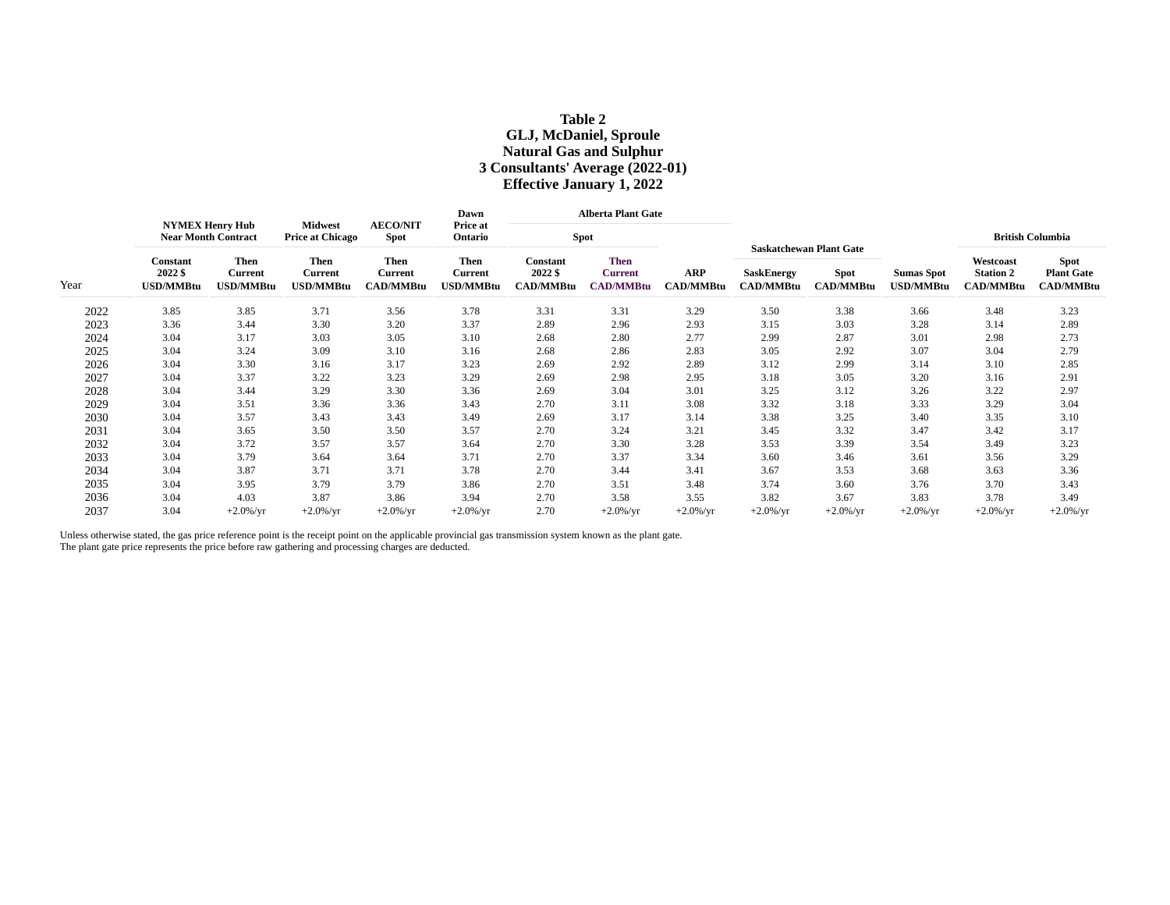# **Table 2 GLJ, McDaniel, Sproule Natural Gas and Sulphur 3 Consultants' Average (2022-01) Effective January 1, 2022**

|      | <b>NYMEX Henry Hub</b><br><b>Near Month Contract</b> |                                     |                                                   |                                                   | Dawn                                       |                                                | <b>Alberta Plant Gate</b>                         |                  |                                       |                                                                   |                                       |                                                   |                                               |
|------|------------------------------------------------------|-------------------------------------|---------------------------------------------------|---------------------------------------------------|--------------------------------------------|------------------------------------------------|---------------------------------------------------|------------------|---------------------------------------|-------------------------------------------------------------------|---------------------------------------|---------------------------------------------------|-----------------------------------------------|
|      |                                                      |                                     | <b>Midwest</b><br><b>Price at Chicago</b>         | <b>AECO/NIT</b><br><b>Spot</b>                    | Price at<br>Ontario                        | <b>Spot</b>                                    |                                                   |                  |                                       |                                                                   |                                       |                                                   | <b>British Columbia</b>                       |
| Year | Constant<br>2022 \$<br><b>USD/MMBtu</b>              | Then<br>Current<br><b>USD/MMBtu</b> | <b>Then</b><br><b>Current</b><br><b>USD/MMBtu</b> | <b>Then</b><br><b>Current</b><br><b>CAD/MMBtu</b> | <b>Then</b><br><b>Current</b><br>USD/MMBtu | <b>Constant</b><br>2022 \$<br><b>CAD/MMBtu</b> | <b>Then</b><br><b>Current</b><br><b>CAD/MMBtu</b> | ARP<br>CAD/MMBtu | <b>SaskEnergy</b><br><b>CAD/MMBtu</b> | <b>Saskatchewan Plant Gate</b><br><b>Spot</b><br><b>CAD/MMBtu</b> | <b>Sumas Spot</b><br><b>USD/MMBtu</b> | Westcoast<br><b>Station 2</b><br><b>CAD/MMBtu</b> | Spot<br><b>Plant Gate</b><br><b>CAD/MMBtu</b> |
| 2022 | 3.85                                                 | 3.85                                | 3.71                                              | 3.56                                              | 3.78                                       | 3.31                                           | 3.31                                              | 3.29             | 3.50                                  | 3.38                                                              | 3.66                                  | 3.48                                              | 3.23                                          |
| 2023 | 3.36                                                 | 3.44                                | 3.30                                              | 3.20                                              | 3.37                                       | 2.89                                           | 2.96                                              | 2.93             | 3.15                                  | 3.03                                                              | 3.28                                  | 3.14                                              | 2.89                                          |
| 2024 | 3.04                                                 | 3.17                                | 3.03                                              | 3.05                                              | 3.10                                       | 2.68                                           | 2.80                                              | 2.77             | 2.99                                  | 2.87                                                              | 3.01                                  | 2.98                                              | 2.73                                          |
| 2025 | 3.04                                                 | 3.24                                | 3.09                                              | 3.10                                              | 3.16                                       | 2.68                                           | 2.86                                              | 2.83             | 3.05                                  | 2.92                                                              | 3.07                                  | 3.04                                              | 2.79                                          |
| 2026 | 3.04                                                 | 3.30                                | 3.16                                              | 3.17                                              | 3.23                                       | 2.69                                           | 2.92                                              | 2.89             | 3.12                                  | 2.99                                                              | 3.14                                  | 3.10                                              | 2.85                                          |
| 2027 | 3.04                                                 | 3.37                                | 3.22                                              | 3.23                                              | 3.29                                       | 2.69                                           | 2.98                                              | 2.95             | 3.18                                  | 3.05                                                              | 3.20                                  | 3.16                                              | 2.91                                          |
| 2028 | 3.04                                                 | 3.44                                | 3.29                                              | 3.30                                              | 3.36                                       | 2.69                                           | 3.04                                              | 3.01             | 3.25                                  | 3.12                                                              | 3.26                                  | 3.22                                              | 2.97                                          |
| 2029 | 3.04                                                 | 3.51                                | 3.36                                              | 3.36                                              | 3.43                                       | 2.70                                           | 3.11                                              | 3.08             | 3.32                                  | 3.18                                                              | 3.33                                  | 3.29                                              | 3.04                                          |
| 2030 | 3.04                                                 | 3.57                                | 3.43                                              | 3.43                                              | 3.49                                       | 2.69                                           | 3.17                                              | 3.14             | 3.38                                  | 3.25                                                              | 3.40                                  | 3.35                                              | 3.10                                          |
| 2031 | 3.04                                                 | 3.65                                | 3.50                                              | 3.50                                              | 3.57                                       | 2.70                                           | 3.24                                              | 3.21             | 3.45                                  | 3.32                                                              | 3.47                                  | 3.42                                              | 3.17                                          |
| 2032 | 3.04                                                 | 3.72                                | 3.57                                              | 3.57                                              | 3.64                                       | 2.70                                           | 3.30                                              | 3.28             | 3.53                                  | 3.39                                                              | 3.54                                  | 3.49                                              | 3.23                                          |
| 2033 | 3.04                                                 | 3.79                                | 3.64                                              | 3.64                                              | 3.71                                       | 2.70                                           | 3.37                                              | 3.34             | 3.60                                  | 3.46                                                              | 3.61                                  | 3.56                                              | 3.29                                          |
| 2034 | 3.04                                                 | 3.87                                | 3.71                                              | 3.71                                              | 3.78                                       | 2.70                                           | 3.44                                              | 3.41             | 3.67                                  | 3.53                                                              | 3.68                                  | 3.63                                              | 3.36                                          |
| 2035 | 3.04                                                 | 3.95                                | 3.79                                              | 3.79                                              | 3.86                                       | 2.70                                           | 3.51                                              | 3.48             | 3.74                                  | 3.60                                                              | 3.76                                  | 3.70                                              | 3.43                                          |
| 2036 | 3.04                                                 | 4.03                                | 3.87                                              | 3.86                                              | 3.94                                       | 2.70                                           | 3.58                                              | 3.55             | 3.82                                  | 3.67                                                              | 3.83                                  | 3.78                                              | 3.49                                          |
| 2037 | 3.04                                                 | $+2.0\%$ /yr                        | $+2.0\%$ /yr                                      | $+2.0\%$ /yr                                      | $+2.0\%$ /yr                               | 2.70                                           | $+2.0\%$ /yr                                      | $+2.0\%$ /yr     | $+2.0\%$ /yr                          | $+2.0\%$ /yr                                                      | $+2.0\%$ /yr                          | $+2.0\%$ /yr                                      | $+2.0\%$ /yr                                  |

Unless otherwise stated, the gas price reference point is the receipt point on the applicable provincial gas transmission system known as the plant gate. The plant gate price represents the price before raw gathering and processing charges are deducted.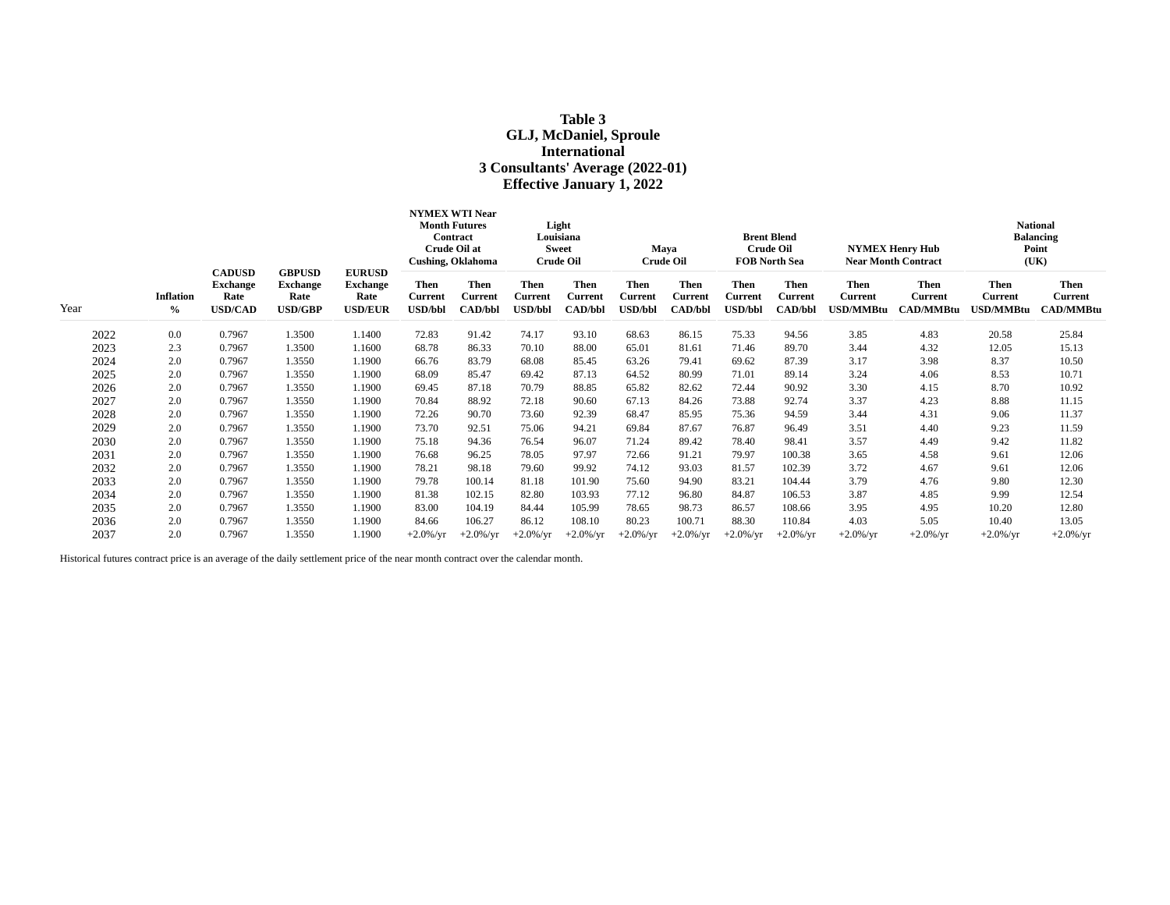# **Table 3 GLJ, McDaniel, Sproule International 3 Consultants' Average (2022-01) Effective January 1, 2022**

|      |                                   |                                                            |                                                            |                                                            | <b>NYMEX WTI Near</b><br><b>Month Futures</b><br>Contract<br>Crude Oil at<br><b>Cushing, Oklahoma</b> |                                                 | Light<br>Louisiana<br><b>Sweet</b><br><b>Crude Oil</b> |                                                 | Maya<br><b>Crude Oil</b>                 |                                                 | <b>Brent Blend</b><br><b>Crude Oil</b><br><b>FOB North Sea</b> |                                          | <b>NYMEX Henry Hub</b><br><b>Near Month Contract</b> |                                                   | <b>National</b><br><b>Balancing</b><br>Point<br>(UK) |                                                   |
|------|-----------------------------------|------------------------------------------------------------|------------------------------------------------------------|------------------------------------------------------------|-------------------------------------------------------------------------------------------------------|-------------------------------------------------|--------------------------------------------------------|-------------------------------------------------|------------------------------------------|-------------------------------------------------|----------------------------------------------------------------|------------------------------------------|------------------------------------------------------|---------------------------------------------------|------------------------------------------------------|---------------------------------------------------|
| Year | <b>Inflation</b><br>$\frac{0}{0}$ | <b>CADUSD</b><br><b>Exchange</b><br>Rate<br><b>USD/CAD</b> | <b>GBPUSD</b><br><b>Exchange</b><br>Rate<br><b>USD/GBP</b> | <b>EURUSD</b><br><b>Exchange</b><br>Rate<br><b>USD/EUR</b> | <b>Then</b><br><b>Current</b><br><b>USD/bbl</b>                                                       | <b>Then</b><br><b>Current</b><br><b>CAD/bbl</b> | <b>Then</b><br>Current<br><b>USD/bbl</b>               | <b>Then</b><br><b>Current</b><br><b>CAD/bbl</b> | <b>Then</b><br>Current<br><b>USD/bbl</b> | <b>Then</b><br><b>Current</b><br><b>CAD/bbl</b> | <b>Then</b><br><b>Current</b><br><b>USD/bbl</b>                | <b>Then</b><br>Current<br><b>CAD/bbl</b> | <b>Then</b><br>Current<br><b>USD/MMBtu</b>           | <b>Then</b><br><b>Current</b><br><b>CAD/MMBtu</b> | <b>Then</b><br><b>Current</b><br>JSD/MMBtu           | <b>Then</b><br><b>Current</b><br><b>CAD/MMBtu</b> |
| 2022 | 0.0                               | 0.7967                                                     | 1.3500                                                     | 1.1400                                                     | 72.83                                                                                                 | 91.42                                           | 74.17                                                  | 93.10                                           | 68.63                                    | 86.15                                           | 75.33                                                          | 94.56                                    | 3.85                                                 | 4.83                                              | 20.58                                                | 25.84                                             |
| 2023 | 2.3                               | 0.7967                                                     | 1.3500                                                     | 1.1600                                                     | 68.78                                                                                                 | 86.33                                           | 70.10                                                  | 88.00                                           | 65.01                                    | 81.61                                           | 71.46                                                          | 89.70                                    | 3.44                                                 | 4.32                                              | 12.05                                                | 15.13                                             |
| 2024 | 2.0                               | 0.7967                                                     | 1.3550                                                     | 1.1900                                                     | 66.76                                                                                                 | 83.79                                           | 68.08                                                  | 85.45                                           | 63.26                                    | 79.41                                           | 69.62                                                          | 87.39                                    | 3.17                                                 | 3.98                                              | 8.37                                                 | 10.50                                             |
| 2025 | 2.0                               | 0.7967                                                     | 1.3550                                                     | 1.1900                                                     | 68.09                                                                                                 | 85.47                                           | 69.42                                                  | 87.13                                           | 64.52                                    | 80.99                                           | 71.01                                                          | 89.14                                    | 3.24                                                 | 4.06                                              | 8.53                                                 | 10.71                                             |
| 2026 | 2.0                               | 0.7967                                                     | 1.3550                                                     | 1.1900                                                     | 69.45                                                                                                 | 87.18                                           | 70.79                                                  | 88.85                                           | 65.82                                    | 82.62                                           | 72.44                                                          | 90.92                                    | 3.30                                                 | 4.15                                              | 8.70                                                 | 10.92                                             |
| 2027 | 2.0                               | 0.7967                                                     | 1.3550                                                     | 1.1900                                                     | 70.84                                                                                                 | 88.92                                           | 72.18                                                  | 90.60                                           | 67.13                                    | 84.26                                           | 73.88                                                          | 92.74                                    | 3.37                                                 | 4.23                                              | 8.88                                                 | 11.15                                             |
| 2028 | 2.0                               | 0.7967                                                     | 1.3550                                                     | 1.1900                                                     | 72.26                                                                                                 | 90.70                                           | 73.60                                                  | 92.39                                           | 68.47                                    | 85.95                                           | 75.36                                                          | 94.59                                    | 3.44                                                 | 4.31                                              | 9.06                                                 | 11.37                                             |
| 2029 | 2.0                               | 0.7967                                                     | 1.3550                                                     | 1.1900                                                     | 73.70                                                                                                 | 92.51                                           | 75.06                                                  | 94.21                                           | 69.84                                    | 87.67                                           | 76.87                                                          | 96.49                                    | 3.51                                                 | 4.40                                              | 9.23                                                 | 11.59                                             |
| 2030 | 2.0                               | 0.7967                                                     | 1.3550                                                     | 1.1900                                                     | 75.18                                                                                                 | 94.36                                           | 76.54                                                  | 96.07                                           | 71.24                                    | 89.42                                           | 78.40                                                          | 98.41                                    | 3.57                                                 | 4.49                                              | 9.42                                                 | 11.82                                             |
| 2031 | 2.0                               | 0.7967                                                     | 1.3550                                                     | 1.1900                                                     | 76.68                                                                                                 | 96.25                                           | 78.05                                                  | 97.97                                           | 72.66                                    | 91.21                                           | 79.97                                                          | 100.38                                   | 3.65                                                 | 4.58                                              | 9.61                                                 | 12.06                                             |
| 2032 | 2.0                               | 0.7967                                                     | 1.3550                                                     | 1.1900                                                     | 78.21                                                                                                 | 98.18                                           | 79.60                                                  | 99.92                                           | 74.12                                    | 93.03                                           | 81.57                                                          | 102.39                                   | 3.72                                                 | 4.67                                              | 9.61                                                 | 12.06                                             |
| 2033 | 2.0                               | 0.7967                                                     | 1.3550                                                     | 1.1900                                                     | 79.78                                                                                                 | 100.14                                          | 81.18                                                  | 101.90                                          | 75.60                                    | 94.90                                           | 83.21                                                          | 104.44                                   | 3.79                                                 | 4.76                                              | 9.80                                                 | 12.30                                             |
| 2034 | 2.0                               | 0.7967                                                     | 1.3550                                                     | 1.1900                                                     | 81.38                                                                                                 | 102.15                                          | 82.80                                                  | 103.93                                          | 77.12                                    | 96.80                                           | 84.87                                                          | 106.53                                   | 3.87                                                 | 4.85                                              | 9.99                                                 | 12.54                                             |
| 2035 | 2.0                               | 0.7967                                                     | 1.3550                                                     | 1.1900                                                     | 83.00                                                                                                 | 104.19                                          | 84.44                                                  | 105.99                                          | 78.65                                    | 98.73                                           | 86.57                                                          | 108.66                                   | 3.95                                                 | 4.95                                              | 10.20                                                | 12.80                                             |
| 2036 | 2.0                               | 0.7967                                                     | 1.3550                                                     | 1.1900                                                     | 84.66                                                                                                 | 106.27                                          | 86.12                                                  | 108.10                                          | 80.23                                    | 100.71                                          | 88.30                                                          | 110.84                                   | 4.03                                                 | 5.05                                              | 10.40                                                | 13.05                                             |
| 2037 | 2.0                               | 0.7967                                                     | 1.3550                                                     | 1.1900                                                     | $+2.0\%$ /yr                                                                                          | $+2.0\%$ /yr                                    | $+2.0\%$ /yr                                           | $+2.0\%$ /yr                                    | $+2.0\%$ /yr                             | $+2.0\%$ /yr                                    | $+2.0\%$ /yr                                                   | $+2.0\%$ /yr                             | $+2.0\%$ /yr                                         | $+2.0\%$ /yr                                      | $+2.0\%$ /yr                                         | $+2.0\%$ /yr                                      |

Historical futures contract price is an average of the daily settlement price of the near month contract over the calendar month.